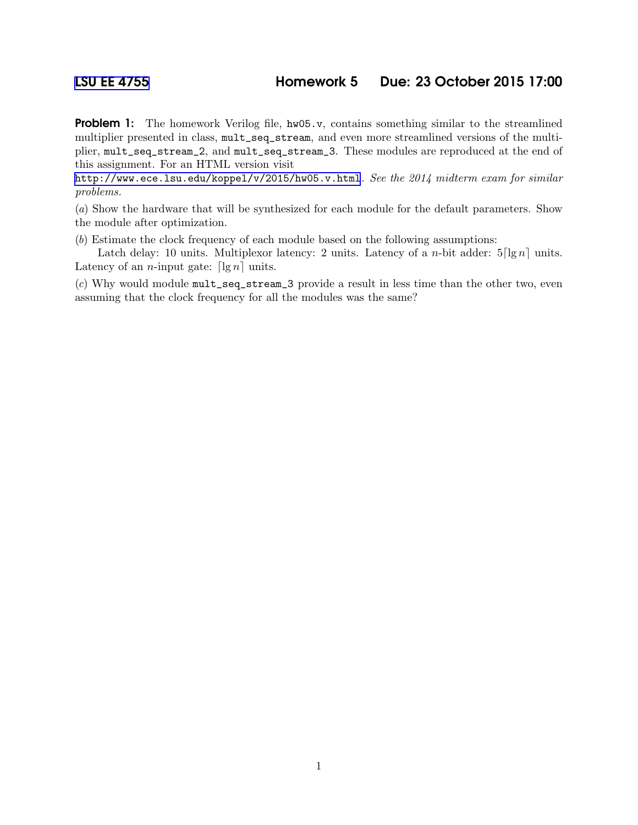**Problem 1:** The homework Verilog file,  $h \varphi(05 \text{·} v)$ , contains something similar to the streamlined multiplier presented in class, mult\_seq\_stream, and even more streamlined versions of the multiplier, mult\_seq\_stream\_2, and mult\_seq\_stream\_3. These modules are reproduced at the end of this assignment. For an HTML version visit

<http://www.ece.lsu.edu/koppel/v/2015/hw05.v.html>. See the 2014 midterm exam for similar problems.

(a) Show the hardware that will be synthesized for each module for the default parameters. Show the module after optimization.

(b) Estimate the clock frequency of each module based on the following assumptions:

Latch delay: 10 units. Multiplexor latency: 2 units. Latency of a *n*-bit adder:  $5\lceil \lg n \rceil$  units. Latency of an *n*-input gate:  $\lceil \lg n \rceil$  units.

(c) Why would module mult\_seq\_stream\_3 provide a result in less time than the other two, even assuming that the clock frequency for all the modules was the same?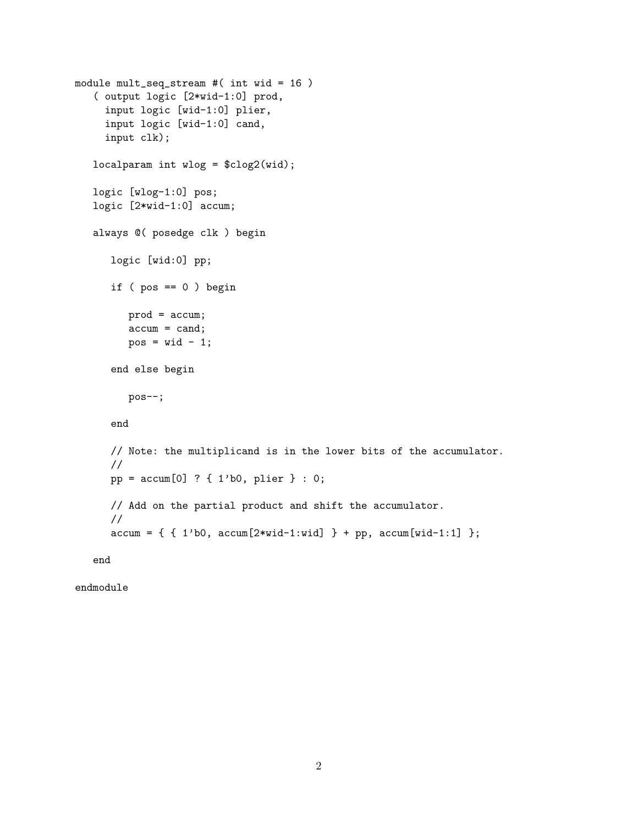```
module mult_seq_stream #( int wid = 16 )
( output logic [2*wid-1:0] prod,
  input logic [wid-1:0] plier,
  input logic [wid-1:0] cand,
  input clk);
localparam int wlog = \frac{\cosh(\theta)}{\cosh(\theta)};
logic [wlog-1:0] pos;
logic [2*wid-1:0] accum;
always @( posedge clk ) begin
    logic [wid:0] pp;
    if (pos == 0) begin
       prod = accum;
       accum = cand;
       pos = wid - 1;end else begin
       pos--;
    end
    // Note: the multiplicand is in the lower bits of the accumulator.
    //
   pp = accum[0] ? { 1'b0, plier } : 0;
    // Add on the partial product and shift the accumulator.
    //
    \text{accum} = \{ \{ 1' \text{b0}, \ \text{accum}[2* \text{wid}-1: \text{wid}] \} + \text{pp}, \ \text{accum}[\text{wid}-1:1] \};
```
end

endmodule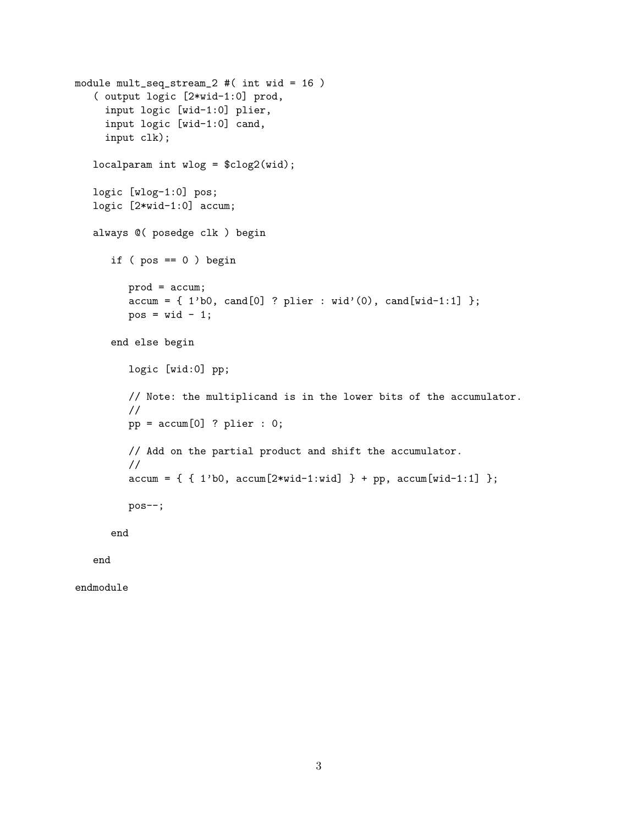```
module mult_seq_stream_2 #( int wid = 16 )
 ( output logic [2*wid-1:0] prod,
   input logic [wid-1:0] plier,
   input logic [wid-1:0] cand,
   input clk);
localparam int wlog = \frac{\cosh(2\pi x)}{\cosh(2\pi x)};
logic [wlog-1:0] pos;
logic [2*wid-1:0] accum;
always @( posedge clk ) begin
    if (pos == 0) begin
        prod = accum;
        \text{accum} = \{ 1' b0, \text{ cand}[0] ? \text{plier} : \text{wid'}(0), \text{ cand}[\text{wid-1:1}] \};
        pos = wid - 1;end else begin
        logic [wid:0] pp;
        // Note: the multiplicand is in the lower bits of the accumulator.
        //
        pp = accum[0] ? plier : 0;
        // Add on the partial product and shift the accumulator.
        //
        \text{accum} = \{ \{ 1' \text{b0}, \ \text{accum}[2* \text{wid}-1: \text{wid}] \} + \text{pp}, \ \text{accum}[\text{wid}-1:1] \};
        pos--;
    end
```
end

endmodule